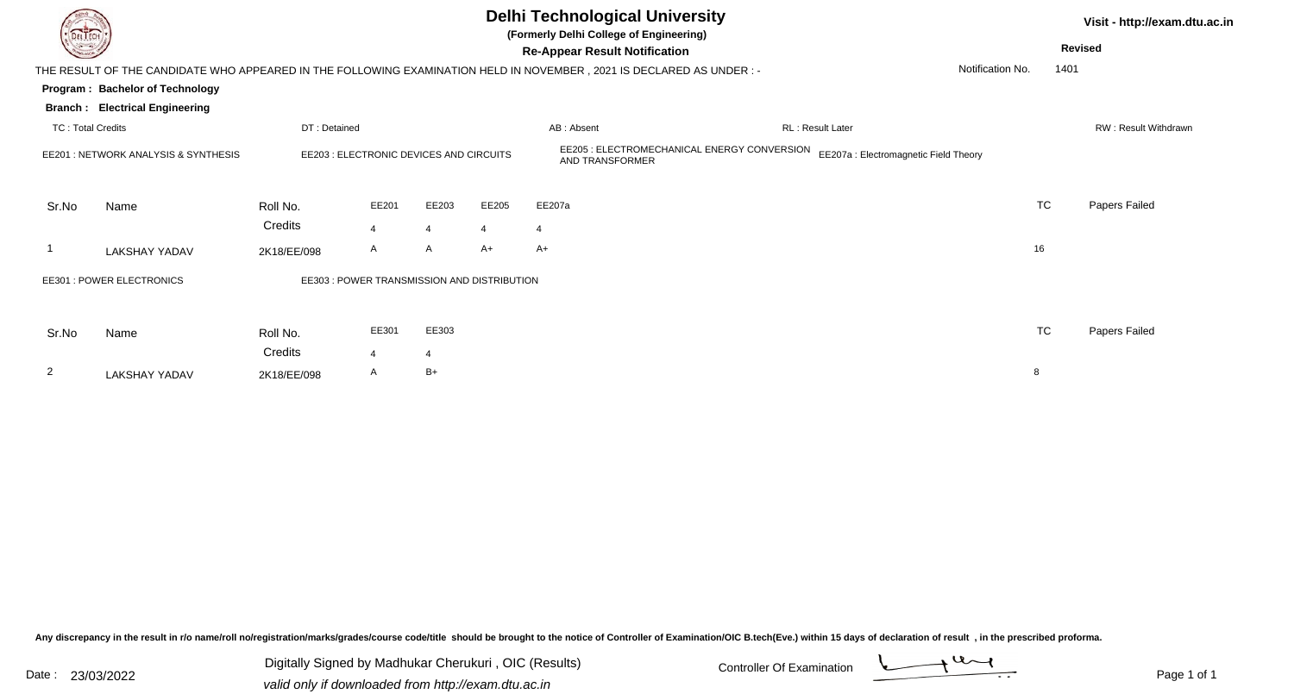|                          |                                                                                                                        |              |                                             |                |       | <b>Delhi Technological University</b><br>(Formerly Delhi College of Engineering) | Visit - http://exam.dtu.ac.in               |                                       |                  |                      |
|--------------------------|------------------------------------------------------------------------------------------------------------------------|--------------|---------------------------------------------|----------------|-------|----------------------------------------------------------------------------------|---------------------------------------------|---------------------------------------|------------------|----------------------|
|                          |                                                                                                                        |              |                                             |                |       | <b>Re-Appear Result Notification</b>                                             |                                             |                                       |                  | <b>Revised</b>       |
|                          | THE RESULT OF THE CANDIDATE WHO APPEARED IN THE FOLLOWING EXAMINATION HELD IN NOVEMBER , 2021 IS DECLARED AS UNDER : - |              |                                             |                |       |                                                                                  |                                             |                                       | Notification No. | 1401                 |
|                          | Program: Bachelor of Technology                                                                                        |              |                                             |                |       |                                                                                  |                                             |                                       |                  |                      |
|                          | <b>Branch: Electrical Engineering</b>                                                                                  |              |                                             |                |       |                                                                                  |                                             |                                       |                  |                      |
| <b>TC: Total Credits</b> |                                                                                                                        | DT: Detained |                                             |                |       | AB: Absent                                                                       |                                             | <b>RL: Result Later</b>               |                  | RW: Result Withdrawn |
|                          | EE201 : NETWORK ANALYSIS & SYNTHESIS                                                                                   |              | EE203 : ELECTRONIC DEVICES AND CIRCUITS     |                |       | AND TRANSFORMER                                                                  | EE205 : ELECTROMECHANICAL ENERGY CONVERSION | EE207a : Electromagnetic Field Theory |                  |                      |
| Sr.No                    | Name                                                                                                                   | Roll No.     | EE201                                       | EE203          | EE205 | EE207a                                                                           |                                             |                                       | <b>TC</b>        | Papers Failed        |
|                          |                                                                                                                        | Credits      | $\overline{4}$                              | $\overline{4}$ | 4     | 4                                                                                |                                             |                                       |                  |                      |
|                          | LAKSHAY YADAV                                                                                                          | 2K18/EE/098  | A                                           | A              | $A+$  | $A+$                                                                             |                                             |                                       | 16               |                      |
|                          | EE301 : POWER ELECTRONICS                                                                                              |              | EE303 : POWER TRANSMISSION AND DISTRIBUTION |                |       |                                                                                  |                                             |                                       |                  |                      |
| Sr.No                    | Name                                                                                                                   | Roll No.     | EE301                                       | EE303          |       |                                                                                  |                                             |                                       | TC               | Papers Failed        |
|                          |                                                                                                                        | Credits      | $\overline{A}$                              | $\overline{4}$ |       |                                                                                  |                                             |                                       |                  |                      |
| $\overline{2}$           | <b>LAKSHAY YADAV</b>                                                                                                   | 2K18/EE/098  | A                                           | $B+$           |       |                                                                                  |                                             |                                       | 8                |                      |

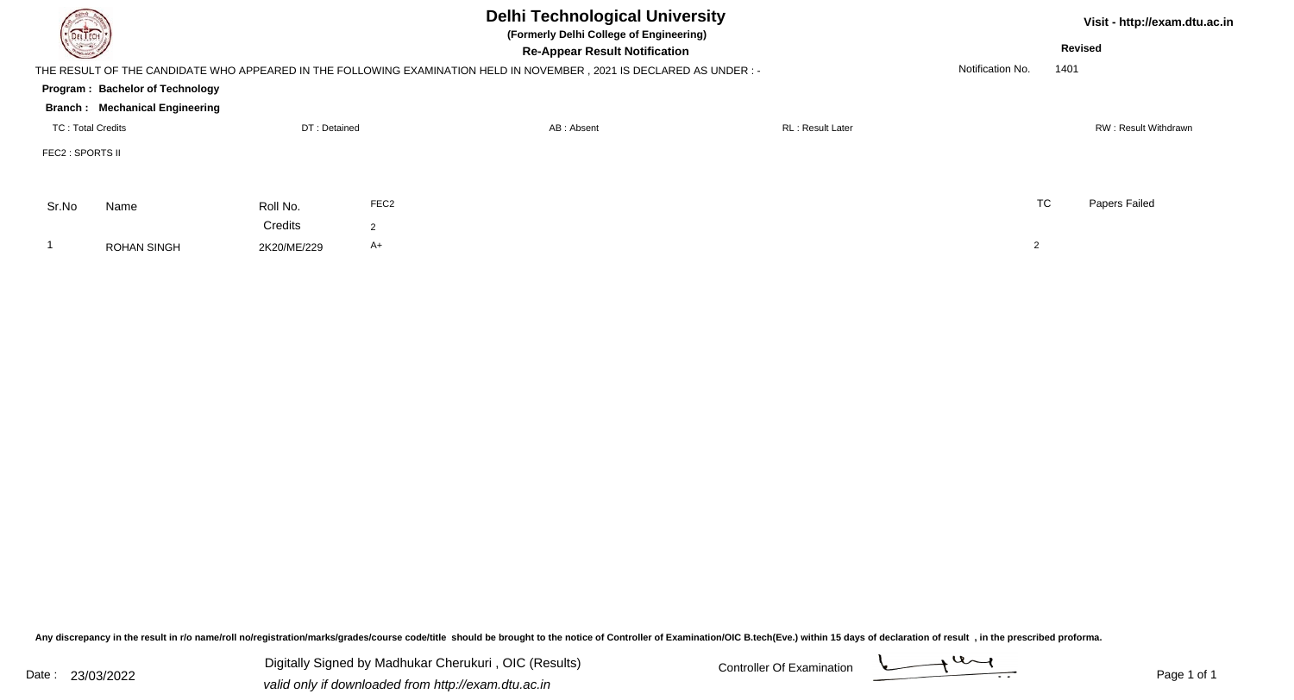| <b>DELTECH</b>    |                                        |              |                  | <b>Revised</b>                                                                                                      | Visit - http://exam.dtu.ac.in |                  |      |                      |
|-------------------|----------------------------------------|--------------|------------------|---------------------------------------------------------------------------------------------------------------------|-------------------------------|------------------|------|----------------------|
|                   |                                        |              |                  | THE RESULT OF THE CANDIDATE WHO APPEARED IN THE FOLLOWING EXAMINATION HELD IN NOVEMBER, 2021 IS DECLARED AS UNDER:- |                               | Notification No. | 1401 |                      |
|                   | <b>Program: Bachelor of Technology</b> |              |                  |                                                                                                                     |                               |                  |      |                      |
|                   | <b>Branch: Mechanical Engineering</b>  |              |                  |                                                                                                                     |                               |                  |      |                      |
| TC: Total Credits |                                        | DT: Detained |                  | AB: Absent                                                                                                          | <b>RL: Result Later</b>       |                  |      | RW: Result Withdrawn |
| FEC2 : SPORTS II  |                                        |              |                  |                                                                                                                     |                               |                  |      |                      |
| Sr.No             | Name                                   | Roll No.     | FEC <sub>2</sub> |                                                                                                                     |                               | <b>TC</b>        |      | Papers Failed        |
|                   |                                        | Credits      | $\overline{2}$   |                                                                                                                     |                               |                  |      |                      |
|                   | <b>ROHAN SINGH</b>                     | 2K20/ME/229  | $A+$             |                                                                                                                     |                               | $\overline{2}$   |      |                      |

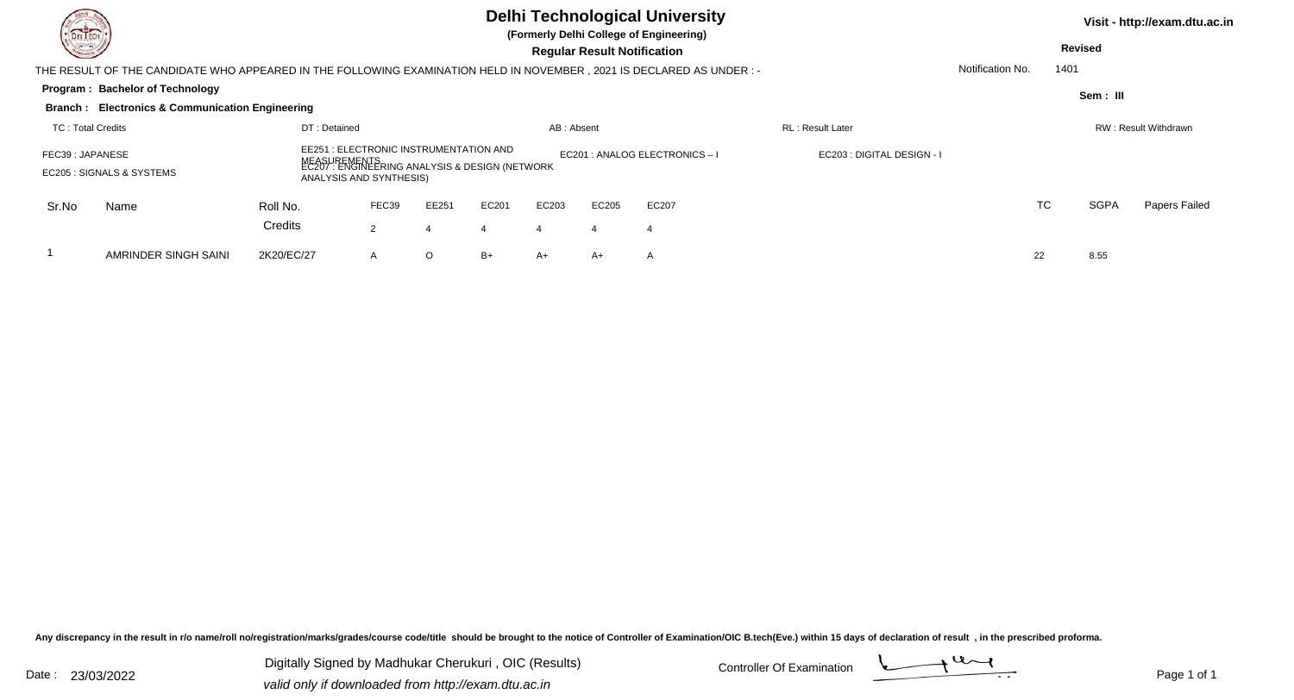|                                                                                                                                                                                     |                                                                                                                       |                                                                               |       |         |       |            |                                | <b>Delhi Technological University</b> |                         |                      |      |                | Visit - http://exam.dtu.ac.in |  |  |
|-------------------------------------------------------------------------------------------------------------------------------------------------------------------------------------|-----------------------------------------------------------------------------------------------------------------------|-------------------------------------------------------------------------------|-------|---------|-------|------------|--------------------------------|---------------------------------------|-------------------------|----------------------|------|----------------|-------------------------------|--|--|
| <b>STATISTICS</b>                                                                                                                                                                   |                                                                                                                       | (Formerly Delhi College of Engineering)<br><b>Regular Result Notification</b> |       |         |       |            |                                |                                       |                         |                      |      | <b>Revised</b> |                               |  |  |
|                                                                                                                                                                                     | THE RESULT OF THE CANDIDATE WHO APPEARED IN THE FOLLOWING EXAMINATION HELD IN NOVEMBER , 2021 IS DECLARED AS UNDER :- |                                                                               |       |         |       |            |                                |                                       |                         | Notification No.     | 1401 |                |                               |  |  |
|                                                                                                                                                                                     | <b>Program: Bachelor of Technology</b>                                                                                |                                                                               |       |         |       |            |                                |                                       |                         |                      |      | Sem: III       |                               |  |  |
|                                                                                                                                                                                     | <b>Branch : Electronics &amp; Communication Engineering</b>                                                           |                                                                               |       |         |       |            |                                |                                       |                         |                      |      |                |                               |  |  |
| <b>TC: Total Credits</b>                                                                                                                                                            |                                                                                                                       | DT: Detained                                                                  |       |         |       | AB: Absent |                                |                                       | <b>RL: Result Later</b> | RW: Result Withdrawn |      |                |                               |  |  |
| EE251 : ELECTRONIC INSTRUMENTATION AND<br>FEC39: JAPANESE<br>MEASUREMENTS<br>EC207 : ENGINEERING ANALYSIS & DESIGN (NETWORK<br>EC205 : SIGNALS & SYSTEMS<br>ANALYSIS AND SYNTHESIS) |                                                                                                                       |                                                                               |       |         |       |            | EC201 : ANALOG ELECTRONICS - I | EC203 : DIGITAL DESIGN - I            |                         |                      |      |                |                               |  |  |
| Sr.No                                                                                                                                                                               | Name                                                                                                                  | Roll No.                                                                      | FEC39 | EE251   | EC201 | EC203      | EC205                          | EC207                                 |                         |                      | TC   | <b>SGPA</b>    | Papers Failed                 |  |  |
|                                                                                                                                                                                     |                                                                                                                       | Credits                                                                       | 2     | 4       |       | 4          |                                | $\overline{4}$                        |                         |                      |      |                |                               |  |  |
|                                                                                                                                                                                     | AMRINDER SINGH SAINI                                                                                                  | 2K20/EC/27                                                                    | A     | $\circ$ | B+    | A+         | A+                             | $\mathsf{A}$                          |                         | 22                   |      | 8.55           |                               |  |  |

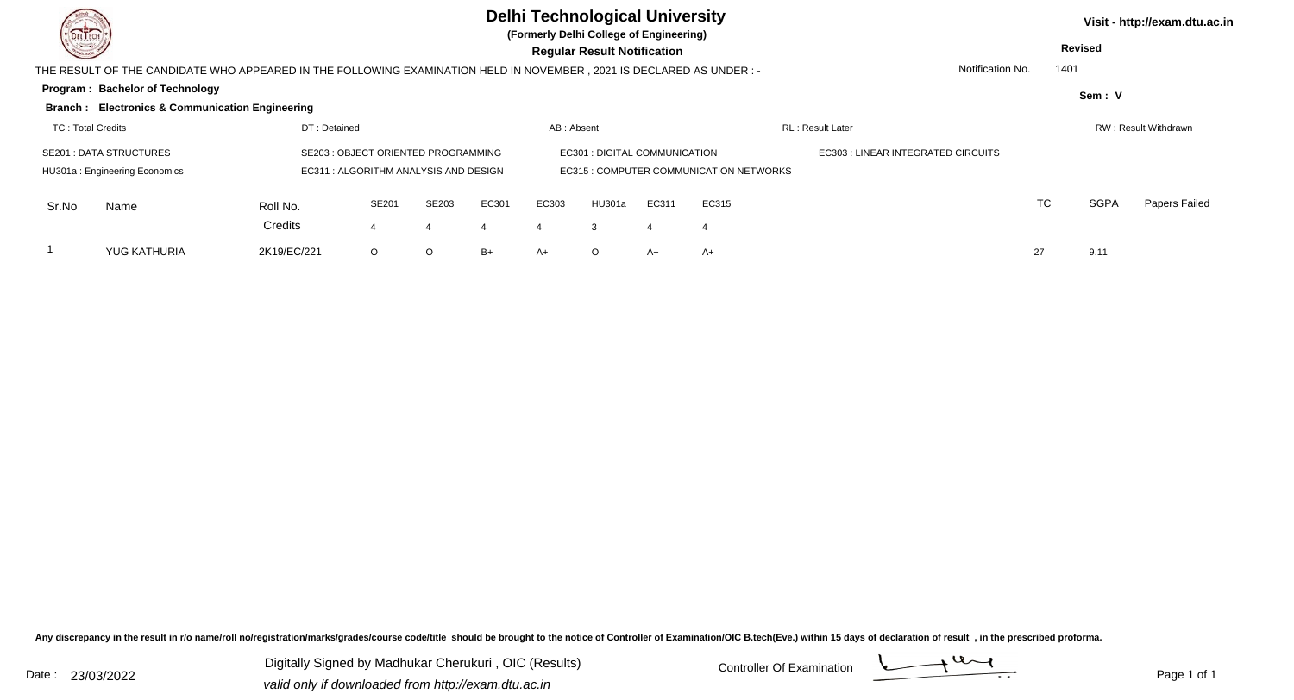| DEL TECH<br><b>Consulta</b>              |                                                            |             |                                                                                                                                                             |         |            |       | <b>Delhi Technological University</b><br>(Formerly Delhi College of Engineering) |       |                                         |                                           |                  |    | <b>Revised</b> | Visit - http://exam.dtu.ac.in |  |
|------------------------------------------|------------------------------------------------------------|-------------|-------------------------------------------------------------------------------------------------------------------------------------------------------------|---------|------------|-------|----------------------------------------------------------------------------------|-------|-----------------------------------------|-------------------------------------------|------------------|----|----------------|-------------------------------|--|
|                                          |                                                            |             | <b>Regular Result Notification</b><br>THE RESULT OF THE CANDIDATE WHO APPEARED IN THE FOLLOWING EXAMINATION HELD IN NOVEMBER , 2021 IS DECLARED AS UNDER :- |         |            |       |                                                                                  |       |                                         |                                           |                  |    | 1401           |                               |  |
|                                          | Program: Bachelor of Technology                            |             |                                                                                                                                                             |         |            |       |                                                                                  |       |                                         |                                           | Notification No. |    | Sem: V         |                               |  |
|                                          | <b>Branch: Electronics &amp; Communication Engineering</b> |             |                                                                                                                                                             |         |            |       |                                                                                  |       |                                         |                                           |                  |    |                |                               |  |
| <b>TC: Total Credits</b><br>DT: Detained |                                                            |             |                                                                                                                                                             |         | AB: Absent |       |                                                                                  |       | <b>RL</b> : Result Later                | RW: Result Withdrawn                      |                  |    |                |                               |  |
|                                          | <b>SE201 : DATA STRUCTURES</b>                             |             | SE203 : OBJECT ORIENTED PROGRAMMING                                                                                                                         |         |            |       | EC301 : DIGITAL COMMUNICATION                                                    |       |                                         | <b>EC303 : LINEAR INTEGRATED CIRCUITS</b> |                  |    |                |                               |  |
|                                          | HU301a: Engineering Economics                              |             | EC311 : ALGORITHM ANALYSIS AND DESIGN                                                                                                                       |         |            |       |                                                                                  |       | EC315 : COMPUTER COMMUNICATION NETWORKS |                                           |                  |    |                |                               |  |
| Sr.No                                    | Name                                                       | Roll No.    | SE201                                                                                                                                                       | SE203   | EC301      | EC303 | <b>HU301a</b>                                                                    | EC311 | EC315                                   |                                           |                  | TC | <b>SGPA</b>    | Papers Failed                 |  |
|                                          |                                                            | Credits     |                                                                                                                                                             | 4       |            |       |                                                                                  |       | $\overline{4}$                          |                                           |                  |    |                |                               |  |
|                                          | <b>YUG KATHURIA</b>                                        | 2K19/EC/221 | $\circ$                                                                                                                                                     | $\circ$ | B+         | $A+$  |                                                                                  | $A+$  | A+                                      |                                           |                  | 27 | 9.11           |                               |  |

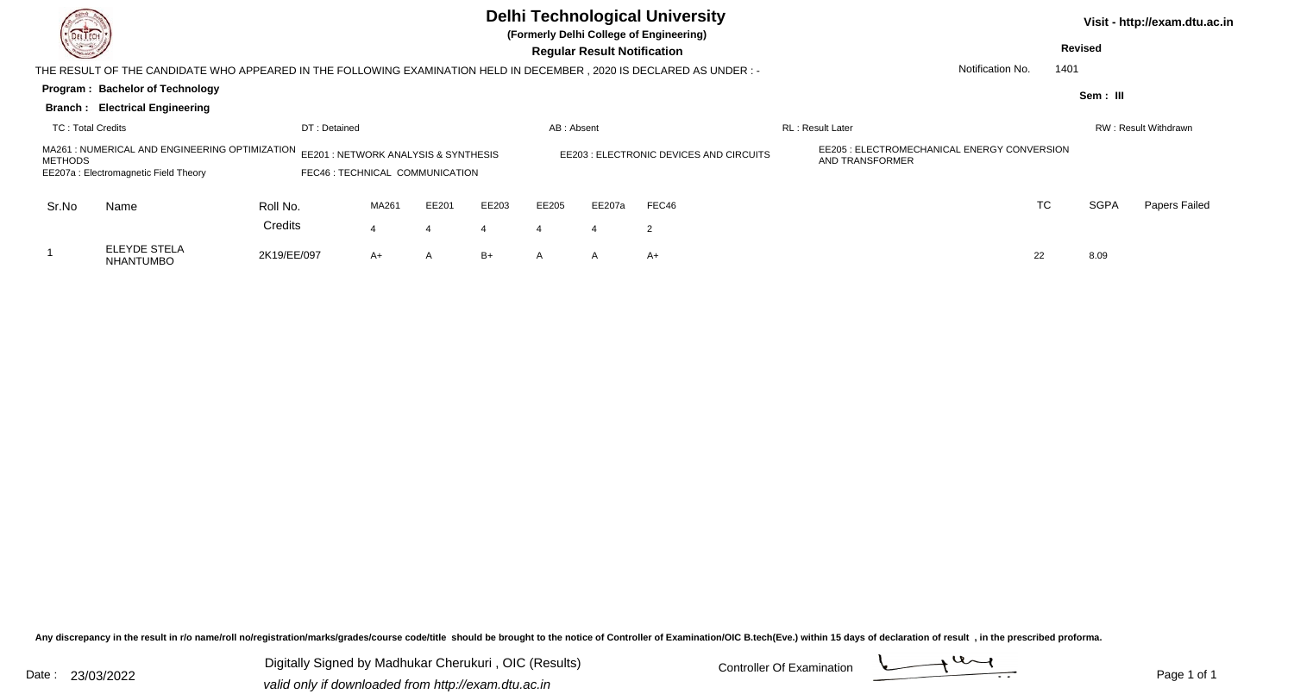|                                                                                                                                                                           |                                                                                                                       |              |       |       |       |            |                                         | <b>Delhi Technological University</b><br>(Formerly Delhi College of Engineering) |                          |                  |      |             | Visit - http://exam.dtu.ac.in |  |
|---------------------------------------------------------------------------------------------------------------------------------------------------------------------------|-----------------------------------------------------------------------------------------------------------------------|--------------|-------|-------|-------|------------|-----------------------------------------|----------------------------------------------------------------------------------|--------------------------|------------------|------|-------------|-------------------------------|--|
| <b>All Common</b>                                                                                                                                                         |                                                                                                                       |              |       |       |       |            | <b>Regular Result Notification</b>      |                                                                                  |                          | <b>Revised</b>   |      |             |                               |  |
|                                                                                                                                                                           | THE RESULT OF THE CANDIDATE WHO APPEARED IN THE FOLLOWING EXAMINATION HELD IN DECEMBER , 2020 IS DECLARED AS UNDER :- |              |       |       |       |            |                                         |                                                                                  |                          | Notification No. | 1401 |             |                               |  |
|                                                                                                                                                                           | <b>Program: Bachelor of Technology</b>                                                                                |              |       |       |       |            |                                         |                                                                                  |                          |                  |      | Sem : III   |                               |  |
|                                                                                                                                                                           | <b>Branch: Electrical Engineering</b>                                                                                 |              |       |       |       |            |                                         |                                                                                  |                          |                  |      |             |                               |  |
| <b>TC: Total Credits</b>                                                                                                                                                  |                                                                                                                       | DT: Detained |       |       |       | AB: Absent |                                         |                                                                                  | <b>RL</b> : Result Later |                  |      |             | RW: Result Withdrawn          |  |
| MA261 : NUMERICAL AND ENGINEERING OPTIMIZATION EE201 : NETWORK ANALYSIS & SYNTHESIS<br>METHODS<br>FEC46 : TECHNICAL COMMUNICATION<br>EE207a: Electromagnetic Field Theory |                                                                                                                       |              |       |       |       |            | EE203 : ELECTRONIC DEVICES AND CIRCUITS | EE205 : ELECTROMECHANICAL ENERGY CONVERSION<br>AND TRANSFORMER                   |                          |                  |      |             |                               |  |
| Sr.No                                                                                                                                                                     | Name                                                                                                                  | Roll No.     | MA261 | EE201 | EE203 | EE205      | EE207a                                  | FEC46                                                                            |                          | <b>TC</b>        |      | <b>SGPA</b> | Papers Failed                 |  |
|                                                                                                                                                                           |                                                                                                                       | Credits      |       | 4     |       |            |                                         | $\overline{2}$                                                                   |                          |                  |      |             |                               |  |
|                                                                                                                                                                           | <b>ELEYDE STELA</b><br><b>NHANTUMBO</b>                                                                               | 2K19/EE/097  | A+    | A     | B+    | A          | $\mathsf{A}$                            | $A+$                                                                             |                          | 22               |      | 8.09        |                               |  |

Digitally Signed by Madhukar Cherukuri, OIC (Results) Controller Of Examination Controller Of Examination Digitally Signed by Madhukar Cherukuri , OIC (Results)valid only if downloaded from http://exam.dtu.ac.in